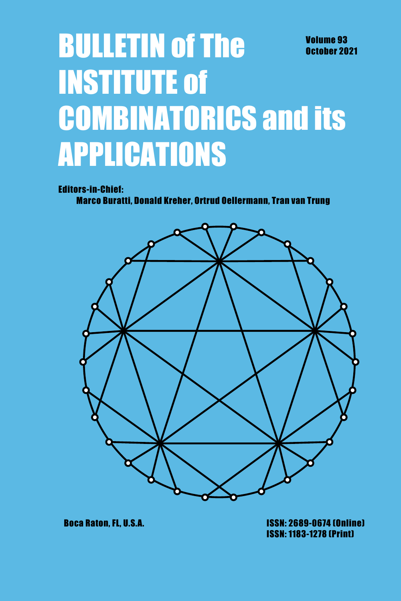# **BULLETIN of The Volume 93** October 2021 **INSTITUTE of COMBINATORICS and its APPLICATIONS**

**Editors-in-Chief:** 

Marco Buratti, Donald Kreher, Ortrud Oellermann, Tran van Trung



**Boca Raton, FL, U.S.A.** 

**ISSN: 2689-0674 (Online) ISSN: 1183-1278 (Print)**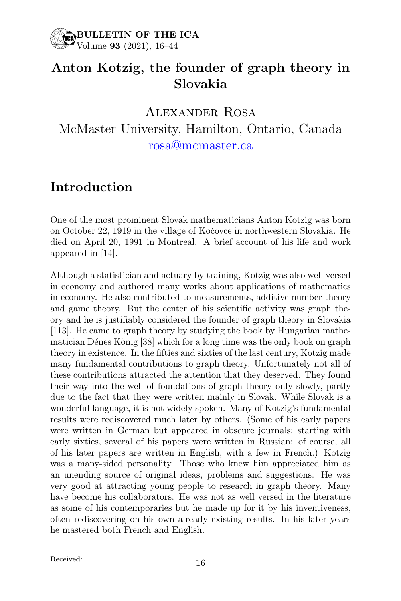

# Anton Kotzig, the founder of graph theory in Slovakia

Alexander Rosa McMaster University, Hamilton, Ontario, Canada rosa@mcmaster.ca

#### Introduction

One of the most prominent Slovak mathematicians Anton Kotzig was born on October 22, 1919 in the village of Koˇcovce in northwestern Slovakia. He died on April 20, 1991 in Montreal. A brief account of his life and work appeared in [14].

Although a statistician and actuary by training, Kotzig was also well versed in economy and authored many works about applications of mathematics in economy. He also contributed to measurements, additive number theory and game theory. But the center of his scientific activity was graph theory and he is justifiably considered the founder of graph theory in Slovakia [113]. He came to graph theory by studying the book by Hungarian mathematician Dénes König [38] which for a long time was the only book on graph theory in existence. In the fifties and sixties of the last century, Kotzig made many fundamental contributions to graph theory. Unfortunately not all of these contributions attracted the attention that they deserved. They found their way into the well of foundations of graph theory only slowly, partly due to the fact that they were written mainly in Slovak. While Slovak is a wonderful language, it is not widely spoken. Many of Kotzig's fundamental results were rediscovered much later by others. (Some of his early papers were written in German but appeared in obscure journals; starting with early sixties, several of his papers were written in Russian: of course, all of his later papers are written in English, with a few in French.) Kotzig was a many-sided personality. Those who knew him appreciated him as an unending source of original ideas, problems and suggestions. He was very good at attracting young people to research in graph theory. Many have become his collaborators. He was not as well versed in the literature as some of his contemporaries but he made up for it by his inventiveness, often rediscovering on his own already existing results. In his later years he mastered both French and English.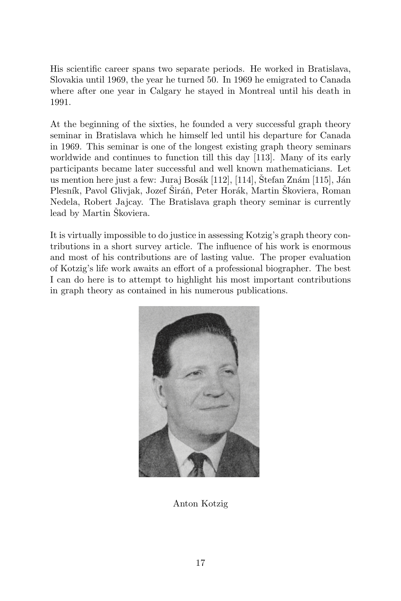His scientific career spans two separate periods. He worked in Bratislava, Slovakia until 1969, the year he turned 50. In 1969 he emigrated to Canada where after one year in Calgary he stayed in Montreal until his death in 1991.

At the beginning of the sixties, he founded a very successful graph theory seminar in Bratislava which he himself led until his departure for Canada in 1969. This seminar is one of the longest existing graph theory seminars worldwide and continues to function till this day [113]. Many of its early participants became later successful and well known mathematicians. Let us mention here just a few: Juraj Bosák [112], [114], Štefan Znám [115], Ján Plesník, Pavol Glivjak, Jozef Širáň, Peter Horák, Martin Škoviera, Roman Nedela, Robert Jajcay. The Bratislava graph theory seminar is currently lead by Martin Škoviera.

It is virtually impossible to do justice in assessing Kotzig's graph theory contributions in a short survey article. The influence of his work is enormous and most of his contributions are of lasting value. The proper evaluation of Kotzig's life work awaits an effort of a professional biographer. The best I can do here is to attempt to highlight his most important contributions in graph theory as contained in his numerous publications.



Anton Kotzig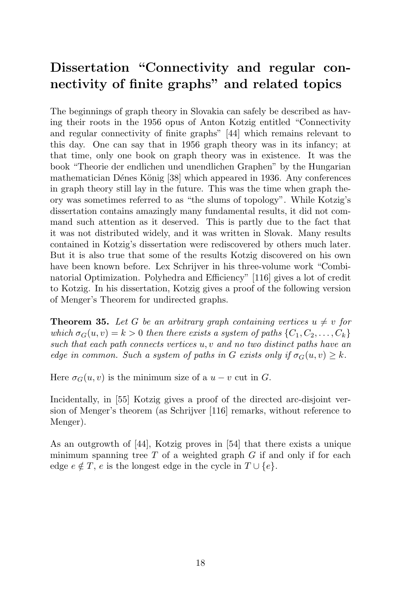# Dissertation "Connectivity and regular connectivity of finite graphs" and related topics

The beginnings of graph theory in Slovakia can safely be described as having their roots in the 1956 opus of Anton Kotzig entitled "Connectivity and regular connectivity of finite graphs" [44] which remains relevant to this day. One can say that in 1956 graph theory was in its infancy; at that time, only one book on graph theory was in existence. It was the book "Theorie der endlichen und unendlichen Graphen" by the Hungarian mathematician Dénes König [38] which appeared in 1936. Any conferences in graph theory still lay in the future. This was the time when graph theory was sometimes referred to as "the slums of topology". While Kotzig's dissertation contains amazingly many fundamental results, it did not command such attention as it deserved. This is partly due to the fact that it was not distributed widely, and it was written in Slovak. Many results contained in Kotzig's dissertation were rediscovered by others much later. But it is also true that some of the results Kotzig discovered on his own have been known before. Lex Schrijver in his three-volume work "Combinatorial Optimization. Polyhedra and Efficiency" [116] gives a lot of credit to Kotzig. In his dissertation, Kotzig gives a proof of the following version of Menger's Theorem for undirected graphs.

**Theorem 35.** Let G be an arbitrary graph containing vertices  $u \neq v$  for which  $\sigma_G(u, v) = k > 0$  then there exists a system of paths  $\{C_1, C_2, \ldots, C_k\}$ such that each path connects vertices  $u, v$  and no two distinct paths have an edge in common. Such a system of paths in G exists only if  $\sigma_G(u, v) > k$ .

Here  $\sigma_G(u, v)$  is the minimum size of a  $u - v$  cut in G.

Incidentally, in [55] Kotzig gives a proof of the directed arc-disjoint version of Menger's theorem (as Schrijver [116] remarks, without reference to Menger).

As an outgrowth of [44], Kotzig proves in [54] that there exists a unique minimum spanning tree  $T$  of a weighted graph  $G$  if and only if for each edge  $e \notin T$ , e is the longest edge in the cycle in  $T \cup \{e\}$ .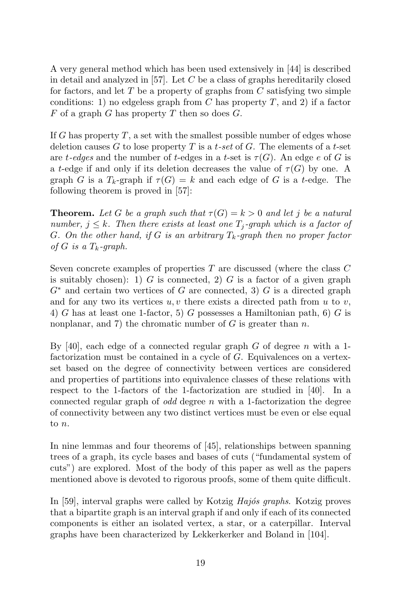A very general method which has been used extensively in [44] is described in detail and analyzed in  $[57]$ . Let C be a class of graphs hereditarily closed for factors, and let  $T$  be a property of graphs from  $C$  satisfying two simple conditions: 1) no edgeless graph from  $C$  has property  $T$ , and 2) if a factor  $F$  of a graph  $G$  has property  $T$  then so does  $G$ .

If G has property  $T$ , a set with the smallest possible number of edges whose deletion causes G to lose property T is a t-set of G. The elements of a t-set are t-edges and the number of t-edges in a t-set is  $\tau(G)$ . An edge e of G is a t-edge if and only if its deletion decreases the value of  $\tau(G)$  by one. A graph G is a  $T_k$ -graph if  $\tau(G) = k$  and each edge of G is a t-edge. The following theorem is proved in [57]:

**Theorem.** Let G be a graph such that  $\tau(G) = k > 0$  and let j be a natural number,  $j \leq k$ . Then there exists at least one  $T_j$ -graph which is a factor of G. On the other hand, if G is an arbitrary  $T_k$ -graph then no proper factor of G is a  $T_k$ -graph.

Seven concrete examples of properties T are discussed (where the class C is suitably chosen): 1)  $G$  is connected, 2)  $G$  is a factor of a given graph  $G^*$  and certain two vertices of G are connected, 3) G is a directed graph and for any two its vertices  $u, v$  there exists a directed path from u to v, 4) G has at least one 1-factor, 5) G possesses a Hamiltonian path, 6) G is nonplanar, and 7) the chromatic number of  $G$  is greater than  $n$ .

By [40], each edge of a connected regular graph  $G$  of degree  $n$  with a 1factorization must be contained in a cycle of G. Equivalences on a vertexset based on the degree of connectivity between vertices are considered and properties of partitions into equivalence classes of these relations with respect to the 1-factors of the 1-factorization are studied in [40]. In a connected regular graph of *odd* degree  $n$  with a 1-factorization the degree of connectivity between any two distinct vertices must be even or else equal to n.

In nine lemmas and four theorems of [45], relationships between spanning trees of a graph, its cycle bases and bases of cuts ("fundamental system of cuts") are explored. Most of the body of this paper as well as the papers mentioned above is devoted to rigorous proofs, some of them quite difficult.

In  $[59]$ , interval graphs were called by Kotzig  $Haj$ os graphs. Kotzig proves that a bipartite graph is an interval graph if and only if each of its connected components is either an isolated vertex, a star, or a caterpillar. Interval graphs have been characterized by Lekkerkerker and Boland in [104].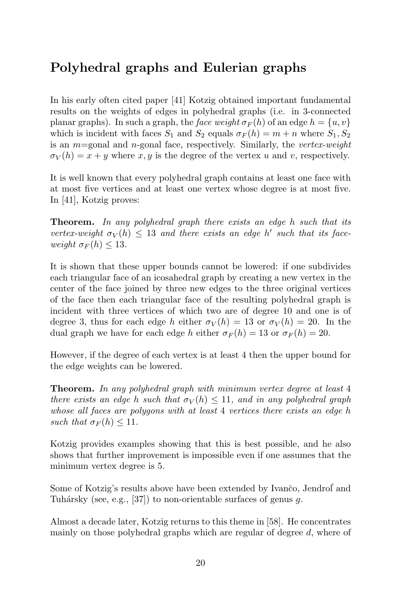# Polyhedral graphs and Eulerian graphs

In his early often cited paper [41] Kotzig obtained important fundamental results on the weights of edges in polyhedral graphs (i.e. in 3-connected planar graphs). In such a graph, the face weight  $\sigma_F(h)$  of an edge  $h = \{u, v\}$ which is incident with faces  $S_1$  and  $S_2$  equals  $\sigma_F(h) = m + n$  where  $S_1, S_2$ is an  $m$ =gonal and n-gonal face, respectively. Similarly, the vertex-weight  $\sigma_V(h) = x + y$  where x, y is the degree of the vertex u and v, respectively.

It is well known that every polyhedral graph contains at least one face with at most five vertices and at least one vertex whose degree is at most five. In [41], Kotzig proves:

**Theorem.** In any polyhedral graph there exists an edge h such that its vertex-weight  $\sigma_V(h) \leq 13$  and there exists an edge h' such that its faceweight  $\sigma_F(h) \leq 13$ .

It is shown that these upper bounds cannot be lowered: if one subdivides each triangular face of an icosahedral graph by creating a new vertex in the center of the face joined by three new edges to the three original vertices of the face then each triangular face of the resulting polyhedral graph is incident with three vertices of which two are of degree 10 and one is of degree 3, thus for each edge h either  $\sigma_V(h) = 13$  or  $\sigma_V(h) = 20$ . In the dual graph we have for each edge h either  $\sigma_F(h) = 13$  or  $\sigma_F(h) = 20$ .

However, if the degree of each vertex is at least 4 then the upper bound for the edge weights can be lowered.

**Theorem.** In any polyhedral graph with minimum vertex degree at least 4 there exists an edge h such that  $\sigma_V(h) \leq 11$ , and in any polyhedral graph whose all faces are polygons with at least 4 vertices there exists an edge h such that  $\sigma_F(h) \leq 11$ .

Kotzig provides examples showing that this is best possible, and he also shows that further improvement is impossible even if one assumes that the minimum vertex degree is 5.

Some of Kotzig's results above have been extended by Ivanco, Jendrol' and Tuhársky (see, e.g., [37]) to non-orientable surfaces of genus  $g$ .

Almost a decade later, Kotzig returns to this theme in [58]. He concentrates mainly on those polyhedral graphs which are regular of degree d, where of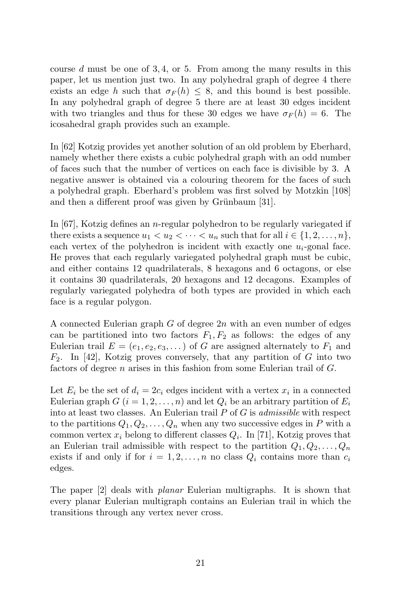course  $d$  must be one of 3, 4, or 5. From among the many results in this paper, let us mention just two. In any polyhedral graph of degree 4 there exists an edge h such that  $\sigma_F(h) \leq 8$ , and this bound is best possible. In any polyhedral graph of degree 5 there are at least 30 edges incident with two triangles and thus for these 30 edges we have  $\sigma_F(h) = 6$ . The icosahedral graph provides such an example.

In [62] Kotzig provides yet another solution of an old problem by Eberhard, namely whether there exists a cubic polyhedral graph with an odd number of faces such that the number of vertices on each face is divisible by 3. A negative answer is obtained via a colouring theorem for the faces of such a polyhedral graph. Eberhard's problem was first solved by Motzkin [108] and then a different proof was given by Grünbaum [31].

In [67], Kotzig defines an n-regular polyhedron to be regularly variegated if there exists a sequence  $u_1 < u_2 < \cdots < u_n$  such that for all  $i \in \{1, 2, \ldots, n\}$ , each vertex of the polyhedron is incident with exactly one  $u_i$ -gonal face. He proves that each regularly variegated polyhedral graph must be cubic, and either contains 12 quadrilaterals, 8 hexagons and 6 octagons, or else it contains 30 quadrilaterals, 20 hexagons and 12 decagons. Examples of regularly variegated polyhedra of both types are provided in which each face is a regular polygon.

A connected Eulerian graph  $G$  of degree  $2n$  with an even number of edges can be partitioned into two factors  $F_1, F_2$  as follows: the edges of any Eulerian trail  $E = (e_1, e_2, e_3, \dots)$  of G are assigned alternately to  $F_1$  and  $F_2$ . In [42], Kotzig proves conversely, that any partition of G into two factors of degree *n* arises in this fashion from some Eulerian trail of  $G$ .

Let  $E_i$  be the set of  $d_i = 2c_i$  edges incident with a vertex  $x_i$  in a connected Eulerian graph  $G$   $(i = 1, 2, ..., n)$  and let  $Q_i$  be an arbitrary partition of  $E_i$ into at least two classes. An Eulerian trail  $P$  of  $G$  is *admissible* with respect to the partitions  $Q_1, Q_2, \ldots, Q_n$  when any two successive edges in P with a common vertex  $x_i$  belong to different classes  $Q_i$ . In [71], Kotzig proves that an Eulerian trail admissible with respect to the partition  $Q_1, Q_2, \ldots, Q_n$ exists if and only if for  $i = 1, 2, ..., n$  no class  $Q_i$  contains more than  $c_i$ edges.

The paper [2] deals with planar Eulerian multigraphs. It is shown that every planar Eulerian multigraph contains an Eulerian trail in which the transitions through any vertex never cross.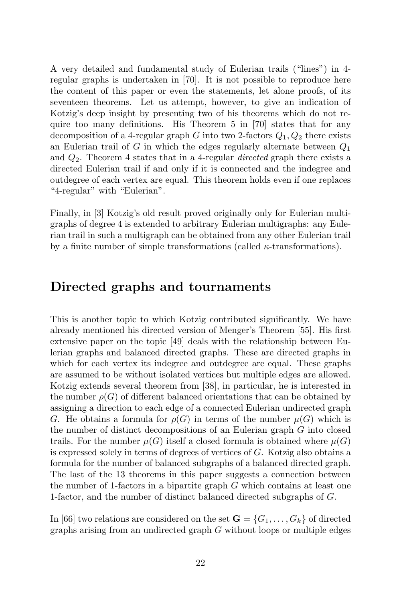A very detailed and fundamental study of Eulerian trails ("lines") in 4 regular graphs is undertaken in [70]. It is not possible to reproduce here the content of this paper or even the statements, let alone proofs, of its seventeen theorems. Let us attempt, however, to give an indication of Kotzig's deep insight by presenting two of his theorems which do not require too many definitions. His Theorem 5 in [70] states that for any decomposition of a 4-regular graph G into two 2-factors  $Q_1, Q_2$  there exists an Eulerian trail of G in which the edges regularly alternate between  $Q_1$ and  $Q_2$ . Theorem 4 states that in a 4-regular *directed* graph there exists a directed Eulerian trail if and only if it is connected and the indegree and outdegree of each vertex are equal. This theorem holds even if one replaces "4-regular" with "Eulerian".

Finally, in [3] Kotzig's old result proved originally only for Eulerian multigraphs of degree 4 is extended to arbitrary Eulerian multigraphs: any Eulerian trail in such a multigraph can be obtained from any other Eulerian trail by a finite number of simple transformations (called  $\kappa$ -transformations).

#### Directed graphs and tournaments

This is another topic to which Kotzig contributed significantly. We have already mentioned his directed version of Menger's Theorem [55]. His first extensive paper on the topic [49] deals with the relationship between Eulerian graphs and balanced directed graphs. These are directed graphs in which for each vertex its indegree and outdegree are equal. These graphs are assumed to be without isolated vertices but multiple edges are allowed. Kotzig extends several theorem from [38], in particular, he is interested in the number  $\rho(G)$  of different balanced orientations that can be obtained by assigning a direction to each edge of a connected Eulerian undirected graph G. He obtains a formula for  $\rho(G)$  in terms of the number  $\mu(G)$  which is the number of distinct decompositions of an Eulerian graph G into closed trails. For the number  $\mu(G)$  itself a closed formula is obtained where  $\mu(G)$ is expressed solely in terms of degrees of vertices of G. Kotzig also obtains a formula for the number of balanced subgraphs of a balanced directed graph. The last of the 13 theorems in this paper suggests a connection between the number of 1-factors in a bipartite graph  $G$  which contains at least one 1-factor, and the number of distinct balanced directed subgraphs of G.

In [66] two relations are considered on the set  $\mathbf{G} = \{G_1, \ldots, G_k\}$  of directed graphs arising from an undirected graph G without loops or multiple edges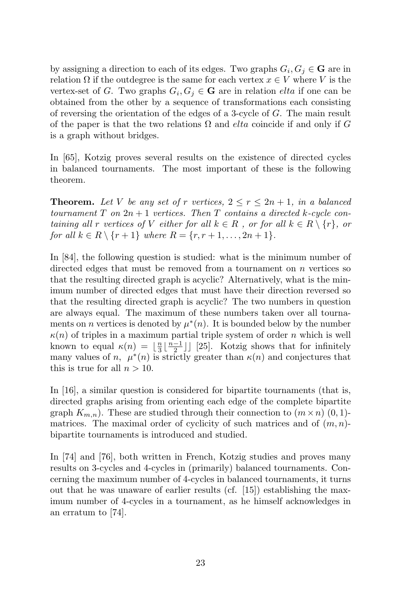by assigning a direction to each of its edges. Two graphs  $G_i, G_j \in \mathbf{G}$  are in relation  $\Omega$  if the outdegree is the same for each vertex  $x \in V$  where V is the vertex-set of G. Two graphs  $G_i, G_j \in \mathbf{G}$  are in relation *elta* if one can be obtained from the other by a sequence of transformations each consisting of reversing the orientation of the edges of a 3-cycle of G. The main result of the paper is that the two relations  $\Omega$  and *elta* coincide if and only if G is a graph without bridges.

In [65], Kotzig proves several results on the existence of directed cycles in balanced tournaments. The most important of these is the following theorem.

**Theorem.** Let V be any set of r vertices,  $2 \leq r \leq 2n + 1$ , in a balanced tournament  $T$  on  $2n + 1$  vertices. Then  $T$  contains a directed k-cycle containing all r vertices of V either for all  $k \in R$ , or for all  $k \in R \setminus \{r\}$ , or for all  $k \in R \setminus \{r+1\}$  where  $R = \{r, r+1, \ldots, 2n+1\}.$ 

In [84], the following question is studied: what is the minimum number of directed edges that must be removed from a tournament on  $n$  vertices so that the resulting directed graph is acyclic? Alternatively, what is the minimum number of directed edges that must have their direction reversed so that the resulting directed graph is acyclic? The two numbers in question are always equal. The maximum of these numbers taken over all tournaments on *n* vertices is denoted by  $\mu^*(n)$ . It is bounded below by the number  $\kappa(n)$  of triples in a maximum partial triple system of order n which is well known to equal  $\kappa(n) = \lfloor \frac{n}{3} \lfloor \frac{n-1}{2} \rfloor \rfloor$  [25]. Kotzig shows that for infinitely many values of n,  $\mu^*(n)$  is strictly greater than  $\kappa(n)$  and conjectures that this is true for all  $n > 10$ .

In [16], a similar question is considered for bipartite tournaments (that is, directed graphs arising from orienting each edge of the complete bipartite graph  $K_{m,n}$ ). These are studied through their connection to  $(m \times n)$  (0, 1)matrices. The maximal order of cyclicity of such matrices and of  $(m, n)$ bipartite tournaments is introduced and studied.

In [74] and [76], both written in French, Kotzig studies and proves many results on 3-cycles and 4-cycles in (primarily) balanced tournaments. Concerning the maximum number of 4-cycles in balanced tournaments, it turns out that he was unaware of earlier results (cf. [15]) establishing the maximum number of 4-cycles in a tournament, as he himself acknowledges in an erratum to [74].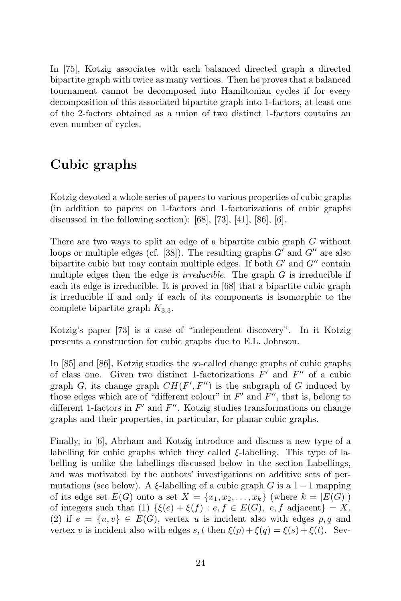In [75], Kotzig associates with each balanced directed graph a directed bipartite graph with twice as many vertices. Then he proves that a balanced tournament cannot be decomposed into Hamiltonian cycles if for every decomposition of this associated bipartite graph into 1-factors, at least one of the 2-factors obtained as a union of two distinct 1-factors contains an even number of cycles.

# Cubic graphs

Kotzig devoted a whole series of papers to various properties of cubic graphs (in addition to papers on 1-factors and 1-factorizations of cubic graphs discussed in the following section):  $[68]$ ,  $[73]$ ,  $[41]$ ,  $[86]$ ,  $[6]$ .

There are two ways to split an edge of a bipartite cubic graph G without loops or multiple edges (cf. [38]). The resulting graphs  $G'$  and  $G''$  are also bipartite cubic but may contain multiple edges. If both  $G'$  and  $G''$  contain multiple edges then the edge is *irreducible*. The graph  $G$  is irreducible if each its edge is irreducible. It is proved in [68] that a bipartite cubic graph is irreducible if and only if each of its components is isomorphic to the complete bipartite graph  $K_{3,3}$ .

Kotzig's paper [73] is a case of "independent discovery". In it Kotzig presents a construction for cubic graphs due to E.L. Johnson.

In [85] and [86], Kotzig studies the so-called change graphs of cubic graphs of class one. Given two distinct 1-factorizations  $F'$  and  $F''$  of a cubic graph G, its change graph  $CH(F', F'')$  is the subgraph of G induced by those edges which are of "different colour" in  $F'$  and  $F''$ , that is, belong to different 1-factors in  $F'$  and  $F''$ . Kotzig studies transformations on change graphs and their properties, in particular, for planar cubic graphs.

Finally, in [6], Abrham and Kotzig introduce and discuss a new type of a labelling for cubic graphs which they called ξ-labelling. This type of labelling is unlike the labellings discussed below in the section Labellings, and was motivated by the authors' investigations on additive sets of permutations (see below). A  $\xi$ -labelling of a cubic graph G is a 1 − 1 mapping of its edge set  $E(G)$  onto a set  $X = \{x_1, x_2, \ldots, x_k\}$  (where  $k = |E(G)|$ ) of integers such that (1)  $\{\xi(e) + \xi(f) : e, f \in E(G), e, f \text{ adjacent}\} = X$ , (2) if  $e = \{u, v\} \in E(G)$ , vertex u is incident also with edges p, q and vertex v is incident also with edges s, t then  $\xi(p) + \xi(q) = \xi(s) + \xi(t)$ . Sev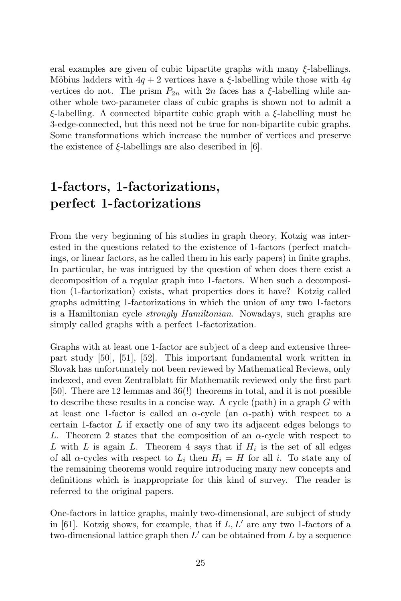eral examples are given of cubic bipartite graphs with many  $\xi$ -labellings. Möbius ladders with  $4q + 2$  vertices have a  $\xi$ -labelling while those with  $4q$ vertices do not. The prism  $P_{2n}$  with  $2n$  faces has a  $\xi$ -labelling while another whole two-parameter class of cubic graphs is shown not to admit a ξ-labelling. A connected bipartite cubic graph with a ξ-labelling must be 3-edge-connected, but this need not be true for non-bipartite cubic graphs. Some transformations which increase the number of vertices and preserve the existence of  $\xi$ -labellings are also described in [6].

# 1-factors, 1-factorizations, perfect 1-factorizations

From the very beginning of his studies in graph theory, Kotzig was interested in the questions related to the existence of 1-factors (perfect matchings, or linear factors, as he called them in his early papers) in finite graphs. In particular, he was intrigued by the question of when does there exist a decomposition of a regular graph into 1-factors. When such a decomposition (1-factorization) exists, what properties does it have? Kotzig called graphs admitting 1-factorizations in which the union of any two 1-factors is a Hamiltonian cycle strongly Hamiltonian. Nowadays, such graphs are simply called graphs with a perfect 1-factorization.

Graphs with at least one 1-factor are subject of a deep and extensive threepart study [50], [51], [52]. This important fundamental work written in Slovak has unfortunately not been reviewed by Mathematical Reviews, only indexed, and even Zentralblatt für Mathematik reviewed only the first part [50]. There are 12 lemmas and 36(!) theorems in total, and it is not possible to describe these results in a concise way. A cycle (path) in a graph G with at least one 1-factor is called an  $\alpha$ -cycle (an  $\alpha$ -path) with respect to a certain 1-factor L if exactly one of any two its adjacent edges belongs to L. Theorem 2 states that the composition of an  $\alpha$ -cycle with respect to L with L is again L. Theorem 4 says that if  $H_i$  is the set of all edges of all  $\alpha$ -cycles with respect to  $L_i$  then  $H_i = H$  for all i. To state any of the remaining theorems would require introducing many new concepts and definitions which is inappropriate for this kind of survey. The reader is referred to the original papers.

One-factors in lattice graphs, mainly two-dimensional, are subject of study in [61]. Kotzig shows, for example, that if  $L, L'$  are any two 1-factors of a two-dimensional lattice graph then  $L'$  can be obtained from  $L$  by a sequence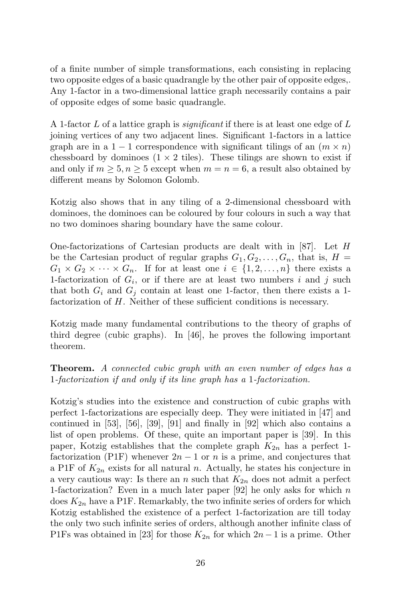of a finite number of simple transformations, each consisting in replacing two opposite edges of a basic quadrangle by the other pair of opposite edges,. Any 1-factor in a two-dimensional lattice graph necessarily contains a pair of opposite edges of some basic quadrangle.

A 1-factor L of a lattice graph is *significant* if there is at least one edge of L joining vertices of any two adjacent lines. Significant 1-factors in a lattice graph are in a 1 − 1 correspondence with significant tilings of an  $(m \times n)$ chessboard by dominoes  $(1 \times 2$  tiles). These tilings are shown to exist if and only if  $m \geq 5, n \geq 5$  except when  $m = n = 6$ , a result also obtained by different means by Solomon Golomb.

Kotzig also shows that in any tiling of a 2-dimensional chessboard with dominoes, the dominoes can be coloured by four colours in such a way that no two dominoes sharing boundary have the same colour.

One-factorizations of Cartesian products are dealt with in [87]. Let  $H$ be the Cartesian product of regular graphs  $G_1, G_2, \ldots, G_n$ , that is,  $H =$  $G_1 \times G_2 \times \cdots \times G_n$ . If for at least one  $i \in \{1, 2, \ldots, n\}$  there exists a 1-factorization of  $G_i$ , or if there are at least two numbers i and j such that both  $G_i$  and  $G_j$  contain at least one 1-factor, then there exists a 1factorization of H. Neither of these sufficient conditions is necessary.

Kotzig made many fundamental contributions to the theory of graphs of third degree (cubic graphs). In [46], he proves the following important theorem.

**Theorem.** A connected cubic graph with an even number of edges has a 1-factorization if and only if its line graph has a 1-factorization.

Kotzig's studies into the existence and construction of cubic graphs with perfect 1-factorizations are especially deep. They were initiated in [47] and continued in [53], [56], [39], [91] and finally in [92] which also contains a list of open problems. Of these, quite an important paper is [39]. In this paper, Kotzig establishes that the complete graph  $K_{2n}$  has a perfect 1factorization (P1F) whenever  $2n-1$  or n is a prime, and conjectures that a P1F of  $K_{2n}$  exists for all natural n. Actually, he states his conjecture in a very cautious way: Is there an n such that  $K_{2n}$  does not admit a perfect 1-factorization? Even in a much later paper [92] he only asks for which  $n$ does  $K_{2n}$  have a P1F. Remarkably, the two infinite series of orders for which Kotzig established the existence of a perfect 1-factorization are till today the only two such infinite series of orders, although another infinite class of P1Fs was obtained in [23] for those  $K_{2n}$  for which  $2n-1$  is a prime. Other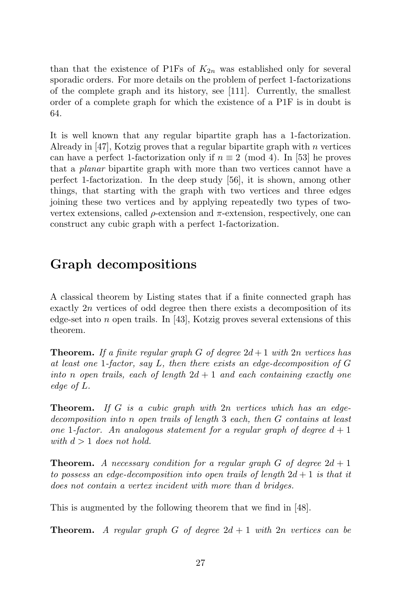than that the existence of P1Fs of  $K_{2n}$  was established only for several sporadic orders. For more details on the problem of perfect 1-factorizations of the complete graph and its history, see [111]. Currently, the smallest order of a complete graph for which the existence of a P1F is in doubt is 64.

It is well known that any regular bipartite graph has a 1-factorization. Already in [47], Kotzig proves that a regular bipartite graph with  $n$  vertices can have a perfect 1-factorization only if  $n \equiv 2 \pmod{4}$ . In [53] he proves that a planar bipartite graph with more than two vertices cannot have a perfect 1-factorization. In the deep study [56], it is shown, among other things, that starting with the graph with two vertices and three edges joining these two vertices and by applying repeatedly two types of twovertex extensions, called  $\rho$ -extension and  $\pi$ -extension, respectively, one can construct any cubic graph with a perfect 1-factorization.

#### Graph decompositions

A classical theorem by Listing states that if a finite connected graph has exactly 2n vertices of odd degree then there exists a decomposition of its edge-set into *n* open trails. In [43], Kotzig proves several extensions of this theorem.

**Theorem.** If a finite regular graph G of degree  $2d+1$  with 2n vertices has at least one 1-factor, say L, then there exists an edge-decomposition of G into n open trails, each of length  $2d + 1$  and each containing exactly one edge of L.

**Theorem.** If G is a cubic graph with  $2n$  vertices which has an edgedecomposition into n open trails of length 3 each, then G contains at least one 1-factor. An analogous statement for a regular graph of degree  $d+1$ with  $d > 1$  does not hold.

**Theorem.** A necessary condition for a regular graph G of degree  $2d + 1$ to possess an edge-decomposition into open trails of length  $2d + 1$  is that it does not contain a vertex incident with more than d bridges.

This is augmented by the following theorem that we find in [48].

**Theorem.** A regular graph G of degree  $2d + 1$  with 2n vertices can be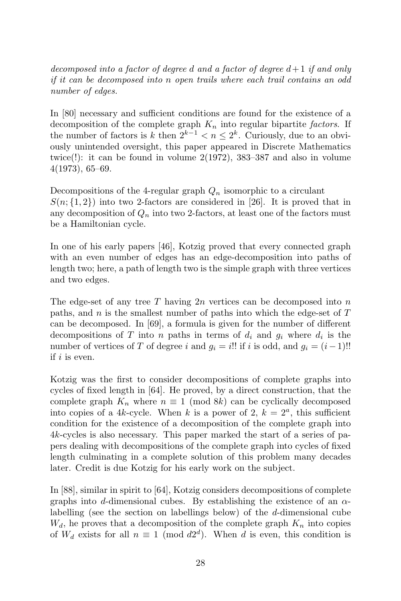decomposed into a factor of degree d and a factor of degree  $d+1$  if and only if it can be decomposed into n open trails where each trail contains an odd number of edges.

In [80] necessary and sufficient conditions are found for the existence of a decomposition of the complete graph  $K_n$  into regular bipartite factors. If the number of factors is k then  $2^{k-1} < n \le 2^k$ . Curiously, due to an obviously unintended oversight, this paper appeared in Discrete Mathematics twice(!): it can be found in volume 2(1972), 383–387 and also in volume 4(1973), 65–69.

Decompositions of the 4-regular graph  $Q_n$  isomorphic to a circulant  $S(n; \{1, 2\})$  into two 2-factors are considered in [26]. It is proved that in any decomposition of  $Q_n$  into two 2-factors, at least one of the factors must be a Hamiltonian cycle.

In one of his early papers [46], Kotzig proved that every connected graph with an even number of edges has an edge-decomposition into paths of length two; here, a path of length two is the simple graph with three vertices and two edges.

The edge-set of any tree T having  $2n$  vertices can be decomposed into n paths, and  $n$  is the smallest number of paths into which the edge-set of  $T$ can be decomposed. In [69], a formula is given for the number of different decompositions of T into n paths in terms of  $d_i$  and  $g_i$  where  $d_i$  is the number of vertices of T of degree i and  $g_i = i!!$  if i is odd, and  $g_i = (i-1)!!$ if i is even.

Kotzig was the first to consider decompositions of complete graphs into cycles of fixed length in [64]. He proved, by a direct construction, that the complete graph  $K_n$  where  $n \equiv 1 \pmod{8k}$  can be cyclically decomposed into copies of a 4k-cycle. When k is a power of 2,  $k = 2<sup>a</sup>$ , this sufficient condition for the existence of a decomposition of the complete graph into 4k-cycles is also necessary. This paper marked the start of a series of papers dealing with decompositions of the complete graph into cycles of fixed length culminating in a complete solution of this problem many decades later. Credit is due Kotzig for his early work on the subject.

In [88], similar in spirit to [64], Kotzig considers decompositions of complete graphs into d-dimensional cubes. By establishing the existence of an  $\alpha$ labelling (see the section on labellings below) of the  $d$ -dimensional cube  $W_d$ , he proves that a decomposition of the complete graph  $K_n$  into copies of  $W_d$  exists for all  $n \equiv 1 \pmod{d2^d}$ . When d is even, this condition is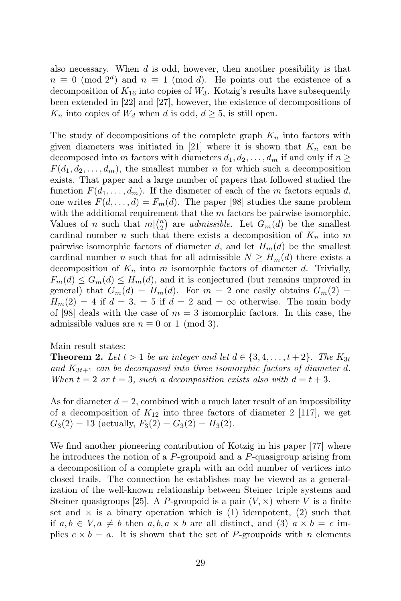also necessary. When  $d$  is odd, however, then another possibility is that  $n \equiv 0 \pmod{2^d}$  and  $n \equiv 1 \pmod{d}$ . He points out the existence of a decomposition of  $K_{16}$  into copies of  $W_3$ . Kotzig's results have subsequently been extended in [22] and [27], however, the existence of decompositions of  $K_n$  into copies of  $W_d$  when d is odd,  $d \geq 5$ , is still open.

The study of decompositions of the complete graph  $K_n$  into factors with given diameters was initiated in [21] where it is shown that  $K_n$  can be decomposed into m factors with diameters  $d_1, d_2, \ldots, d_m$  if and only if  $n \geq$  $F(d_1, d_2, \ldots, d_m)$ , the smallest number n for which such a decomposition exists. That paper and a large number of papers that followed studied the function  $F(d_1, \ldots, d_m)$ . If the diameter of each of the m factors equals d, one writes  $F(d, \ldots, d) = F_m(d)$ . The paper [98] studies the same problem with the additional requirement that the  $m$  factors be pairwise isomorphic. Values of n such that  $m\binom{n}{2}$  are *admissible*. Let  $G_m(d)$  be the smallest cardinal number n such that there exists a decomposition of  $K_n$  into m pairwise isomorphic factors of diameter d, and let  $H_m(d)$  be the smallest cardinal number *n* such that for all admissible  $N \geq H_m(d)$  there exists a decomposition of  $K_n$  into m isomorphic factors of diameter d. Trivially,  $F_m(d) \leq G_m(d) \leq H_m(d)$ , and it is conjectured (but remains unproved in general) that  $G_m(d) = H_m(d)$ . For  $m = 2$  one easily obtains  $G_m(2) =$  $H_m(2) = 4$  if  $d = 3$ ,  $= 5$  if  $d = 2$  and  $= \infty$  otherwise. The main body of [98] deals with the case of  $m = 3$  isomorphic factors. In this case, the admissible values are  $n \equiv 0$  or 1 (mod 3).

#### Main result states:

**Theorem 2.** Let  $t > 1$  be an integer and let  $d \in \{3, 4, \ldots, t+2\}$ . The  $K_{3t}$ and  $K_{3t+1}$  can be decomposed into three isomorphic factors of diameter d. When  $t = 2$  or  $t = 3$ , such a decomposition exists also with  $d = t + 3$ .

As for diameter  $d = 2$ , combined with a much later result of an impossibility of a decomposition of  $K_{12}$  into three factors of diameter 2 [117], we get  $G_3(2) = 13$  (actually,  $F_3(2) = G_3(2) = H_3(2)$ .

We find another pioneering contribution of Kotzig in his paper [77] where he introduces the notion of a P-groupoid and a P-quasigroup arising from a decomposition of a complete graph with an odd number of vertices into closed trails. The connection he establishes may be viewed as a generalization of the well-known relationship between Steiner triple systems and Steiner quasigroups [25]. A P-groupoid is a pair  $(V, \times)$  where V is a finite set and  $\times$  is a binary operation which is (1) idempotent, (2) such that if  $a, b \in V, a \neq b$  then  $a, b, a \times b$  are all distinct, and (3)  $a \times b = c$  implies  $c \times b = a$ . It is shown that the set of P-groupoids with n elements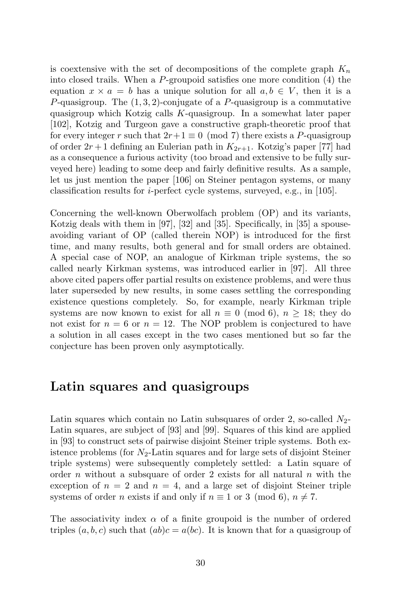is coextensive with the set of decompositions of the complete graph  $K_n$ into closed trails. When a P-groupoid satisfies one more condition (4) the equation  $x \times a = b$  has a unique solution for all  $a, b \in V$ , then it is a P-quasigroup. The  $(1, 3, 2)$ -conjugate of a P-quasigroup is a commutative quasigroup which Kotzig calls K-quasigroup. In a somewhat later paper [102], Kotzig and Turgeon gave a constructive graph-theoretic proof that for every integer r such that  $2r+1 \equiv 0 \pmod{7}$  there exists a P-quasigroup of order  $2r+1$  defining an Eulerian path in  $K_{2r+1}$ . Kotzig's paper [77] had as a consequence a furious activity (too broad and extensive to be fully surveyed here) leading to some deep and fairly definitive results. As a sample, let us just mention the paper [106] on Steiner pentagon systems, or many classification results for i-perfect cycle systems, surveyed, e.g., in [105].

Concerning the well-known Oberwolfach problem (OP) and its variants, Kotzig deals with them in [97], [32] and [35]. Specifically, in [35] a spouseavoiding variant of OP (called therein NOP) is introduced for the first time, and many results, both general and for small orders are obtained. A special case of NOP, an analogue of Kirkman triple systems, the so called nearly Kirkman systems, was introduced earlier in [97]. All three above cited papers offer partial results on existence problems, and were thus later superseded by new results, in some cases settling the corresponding existence questions completely. So, for example, nearly Kirkman triple systems are now known to exist for all  $n \equiv 0 \pmod{6}$ ,  $n > 18$ ; they do not exist for  $n = 6$  or  $n = 12$ . The NOP problem is conjectured to have a solution in all cases except in the two cases mentioned but so far the conjecture has been proven only asymptotically.

#### Latin squares and quasigroups

Latin squares which contain no Latin subsquares of order 2, so-called  $N_2$ -Latin squares, are subject of [93] and [99]. Squares of this kind are applied in [93] to construct sets of pairwise disjoint Steiner triple systems. Both existence problems (for  $N_2$ -Latin squares and for large sets of disjoint Steiner triple systems) were subsequently completely settled: a Latin square of order n without a subsquare of order 2 exists for all natural  $n$  with the exception of  $n = 2$  and  $n = 4$ , and a large set of disjoint Steiner triple systems of order *n* exists if and only if  $n \equiv 1$  or 3 (mod 6),  $n \neq 7$ .

The associativity index  $\alpha$  of a finite groupoid is the number of ordered triples  $(a, b, c)$  such that  $(ab)c = a(bc)$ . It is known that for a quasigroup of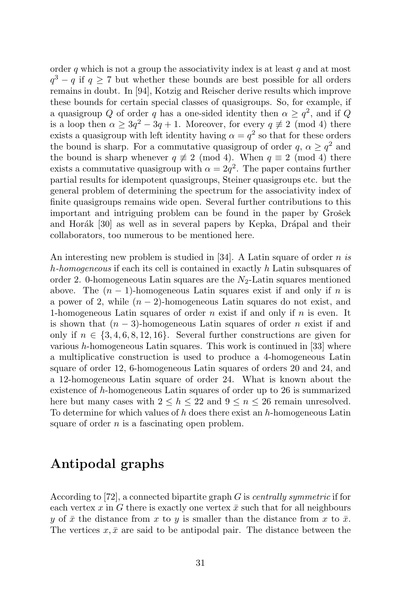order q which is not a group the associativity index is at least  $q$  and at most  $q^3 - q$  if  $q \ge 7$  but whether these bounds are best possible for all orders remains in doubt. In [94], Kotzig and Reischer derive results which improve these bounds for certain special classes of quasigroups. So, for example, if a quasigroup Q of order q has a one-sided identity then  $\alpha \geq q^2$ , and if Q is a loop then  $\alpha \geq 3q^2 - 3q + 1$ . Moreover, for every  $q \not\equiv 2 \pmod{4}$  there exists a quasigroup with left identity having  $\alpha = q^2$  so that for these orders the bound is sharp. For a commutative quasigroup of order  $q, \alpha \geq q^2$  and the bound is sharp whenever  $q \not\equiv 2 \pmod{4}$ . When  $q \equiv 2 \pmod{4}$  there exists a commutative quasigroup with  $\alpha = 2q^2$ . The paper contains further partial results for idempotent quasigroups, Steiner quasigroups etc. but the general problem of determining the spectrum for the associativity index of finite quasigroups remains wide open. Several further contributions to this important and intriguing problem can be found in the paper by Grosek and Horák [30] as well as in several papers by Kepka, Drápal and their collaborators, too numerous to be mentioned here.

An interesting new problem is studied in [34]. A Latin square of order n is h-homogeneous if each its cell is contained in exactly h Latin subsquares of order 2. 0-homogeneous Latin squares are the  $N_2$ -Latin squares mentioned above. The  $(n - 1)$ -homogeneous Latin squares exist if and only if n is a power of 2, while  $(n-2)$ -homogeneous Latin squares do not exist, and 1-homogeneous Latin squares of order n exist if and only if  $n$  is even. It is shown that  $(n-3)$ -homogeneous Latin squares of order n exist if and only if  $n \in \{3, 4, 6, 8, 12, 16\}$ . Several further constructions are given for various  $h$ -homogeneous Latin squares. This work is continued in [33] where a multiplicative construction is used to produce a 4-homogeneous Latin square of order 12, 6-homogeneous Latin squares of orders 20 and 24, and a 12-homogeneous Latin square of order 24. What is known about the existence of h-homogeneous Latin squares of order up to 26 is summarized here but many cases with  $2 \leq h \leq 22$  and  $9 \leq n \leq 26$  remain unresolved. To determine for which values of  $h$  does there exist an  $h$ -homogeneous Latin square of order  $n$  is a fascinating open problem.

#### Antipodal graphs

According to [72], a connected bipartite graph  $G$  is *centrally symmetric* if for each vertex x in G there is exactly one vertex  $\bar{x}$  such that for all neighbours y of  $\bar{x}$  the distance from x to y is smaller than the distance from x to  $\bar{x}$ . The vertices  $x, \bar{x}$  are said to be antipodal pair. The distance between the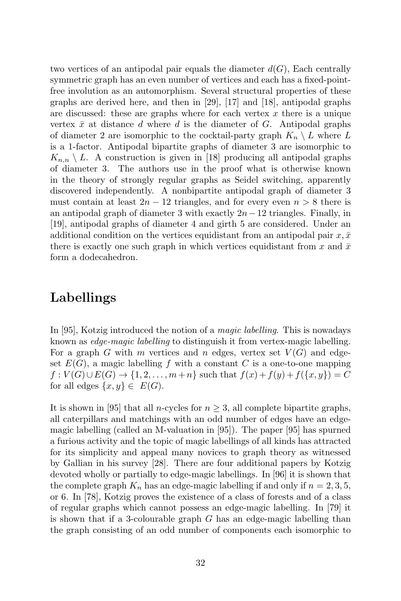two vertices of an antipodal pair equals the diameter  $d(G)$ , Each centrally symmetric graph has an even number of vertices and each has a fixed-pointfree involution as an automorphism. Several structural properties of these graphs are derived here, and then in [29], [17] and [18], antipodal graphs are discussed: these are graphs where for each vertex  $x$  there is a unique vertex  $\bar{x}$  at distance d where d is the diameter of G. Antipodal graphs of diameter 2 are isomorphic to the cocktail-party graph  $K_n \setminus L$  where L is a 1-factor. Antipodal bipartite graphs of diameter 3 are isomorphic to  $K_{n,n} \setminus L$ . A construction is given in [18] producing all antipodal graphs of diameter 3. The authors use in the proof what is otherwise known in the theory of strongly regular graphs as Seidel switching, apparently discovered independently. A nonbipartite antipodal graph of diameter 3 must contain at least  $2n - 12$  triangles, and for every even  $n > 8$  there is an antipodal graph of diameter 3 with exactly  $2n-12$  triangles. Finally, in [19], antipodal graphs of diameter 4 and girth 5 are considered. Under an additional condition on the vertices equidistant from an antipodal pair  $x, \bar{x}$ there is exactly one such graph in which vertices equidistant from x and  $\bar{x}$ form a dodecahedron.

#### Labellings

In [95], Kotzig introduced the notion of a *magic labelling*. This is nowadays known as edge-magic labelling to distinguish it from vertex-magic labelling. For a graph G with m vertices and n edges, vertex set  $V(G)$  and edgeset  $E(G)$ , a magic labelling f with a constant C is a one-to-one mapping  $f: V(G) \cup E(G) \to \{1, 2, ..., m+n\}$  such that  $f(x) + f(y) + f(\{x, y\}) = C$ for all edges  $\{x, y\} \in E(G)$ .

It is shown in [95] that all n-cycles for  $n \geq 3$ , all complete bipartite graphs, all caterpillars and matchings with an odd number of edges have an edgemagic labelling (called an M-valuation in [95]). The paper [95] has spurned a furious activity and the topic of magic labellings of all kinds has attracted for its simplicity and appeal many novices to graph theory as witnessed by Gallian in his survey [28]. There are four additional papers by Kotzig devoted wholly or partially to edge-magic labellings. In [96] it is shown that the complete graph  $K_n$  has an edge-magic labelling if and only if  $n = 2, 3, 5$ , or 6. In [78], Kotzig proves the existence of a class of forests and of a class of regular graphs which cannot possess an edge-magic labelling. In [79] it is shown that if a 3-colourable graph G has an edge-magic labelling than the graph consisting of an odd number of components each isomorphic to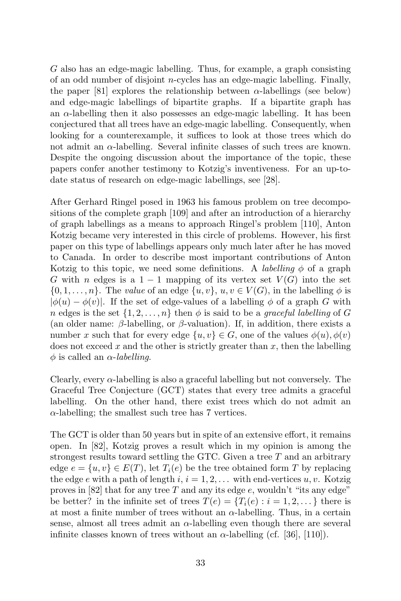G also has an edge-magic labelling. Thus, for example, a graph consisting of an odd number of disjoint n-cycles has an edge-magic labelling. Finally, the paper [81] explores the relationship between  $\alpha$ -labellings (see below) and edge-magic labellings of bipartite graphs. If a bipartite graph has an  $\alpha$ -labelling then it also possesses an edge-magic labelling. It has been conjectured that all trees have an edge-magic labelling. Consequently, when looking for a counterexample, it suffices to look at those trees which do not admit an  $\alpha$ -labelling. Several infinite classes of such trees are known. Despite the ongoing discussion about the importance of the topic, these papers confer another testimony to Kotzig's inventiveness. For an up-todate status of research on edge-magic labellings, see [28].

After Gerhard Ringel posed in 1963 his famous problem on tree decompositions of the complete graph [109] and after an introduction of a hierarchy of graph labellings as a means to approach Ringel's problem [110], Anton Kotzig became very interested in this circle of problems. However, his first paper on this type of labellings appears only much later after he has moved to Canada. In order to describe most important contributions of Anton Kotzig to this topic, we need some definitions. A *labelling*  $\phi$  of a graph G with n edges is a  $1 - 1$  mapping of its vertex set  $V(G)$  into the set  $\{0, 1, \ldots, n\}$ . The value of an edge  $\{u, v\}$ ,  $u, v \in V(G)$ , in the labelling  $\phi$  is  $|\phi(u) - \phi(v)|$ . If the set of edge-values of a labelling  $\phi$  of a graph G with n edges is the set  $\{1, 2, ..., n\}$  then  $\phi$  is said to be a graceful labelling of G (an older name:  $\beta$ -labelling, or  $\beta$ -valuation). If, in addition, there exists a number x such that for every edge  $\{u, v\} \in G$ , one of the values  $\phi(u)$ ,  $\phi(v)$ does not exceed  $x$  and the other is strictly greater than  $x$ , then the labelling  $\phi$  is called an  $\alpha$ -labelling.

Clearly, every  $\alpha$ -labelling is also a graceful labelling but not conversely. The Graceful Tree Conjecture (GCT) states that every tree admits a graceful labelling. On the other hand, there exist trees which do not admit an  $\alpha$ -labelling; the smallest such tree has 7 vertices.

The GCT is older than 50 years but in spite of an extensive effort, it remains open. In [82], Kotzig proves a result which in my opinion is among the strongest results toward settling the GTC. Given a tree  $T$  and an arbitrary edge  $e = \{u, v\} \in E(T)$ , let  $T_i(e)$  be the tree obtained form T by replacing the edge e with a path of length i,  $i = 1, 2, \ldots$  with end-vertices  $u, v$ . Kotzig proves in [82] that for any tree T and any its edge  $e$ , wouldn't "its any edge" be better? in the infinite set of trees  $T(e) = \{T_i(e) : i = 1, 2, ...\}$  there is at most a finite number of trees without an  $\alpha$ -labelling. Thus, in a certain sense, almost all trees admit an  $\alpha$ -labelling even though there are several infinite classes known of trees without an  $\alpha$ -labelling (cf. [36], [110]).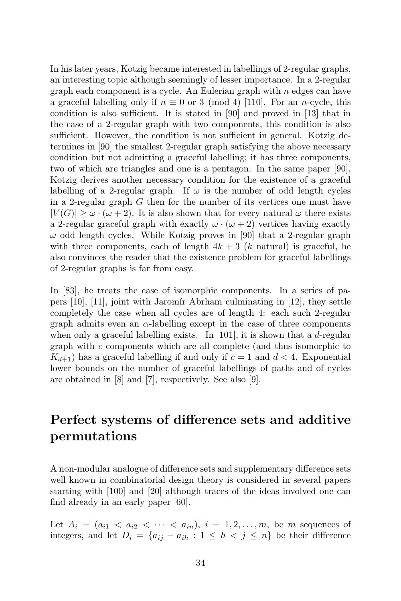In his later years, Kotzig became interested in labellings of 2-regular graphs, an interesting topic although seemingly of lesser importance. In a 2-regular graph each component is a cycle. An Eulerian graph with  $n$  edges can have a graceful labelling only if  $n \equiv 0$  or 3 (mod 4) [110]. For an *n*-cycle, this condition is also sufficient. It is stated in [90] and proved in [13] that in the case of a 2-regular graph with two components, this condition is also sufficient. However, the condition is not sufficient in general. Kotzig determines in [90] the smallest 2-regular graph satisfying the above necessary condition but not admitting a graceful labelling; it has three components, two of which are triangles and one is a pentagon. In the same paper [90], Kotzig derives another necessary condition for the existence of a graceful labelling of a 2-regular graph. If  $\omega$  is the number of odd length cycles in a 2-regular graph  $G$  then for the number of its vertices one must have  $|V(G)| \geq \omega \cdot (\omega + 2)$ . It is also shown that for every natural  $\omega$  there exists a 2-regular graceful graph with exactly  $\omega \cdot (\omega + 2)$  vertices having exactly  $\omega$  odd length cycles. While Kotzig proves in [90] that a 2-regular graph with three components, each of length  $4k + 3$  (k natural) is graceful, he also convinces the reader that the existence problem for graceful labellings of 2-regular graphs is far from easy.

In [83], he treats the case of isomorphic components. In a series of papers  $[10]$ ,  $[11]$ , joint with Jaromír Abrham culminating in  $[12]$ , they settle completely the case when all cycles are of length 4: each such 2-regular graph admits even an  $\alpha$ -labelling except in the case of three components when only a graceful labelling exists. In [101], it is shown that a d-regular graph with c components which are all complete (and thus isomorphic to  $K_{d+1}$ ) has a graceful labelling if and only if  $c = 1$  and  $d < 4$ . Exponential lower bounds on the number of graceful labellings of paths and of cycles are obtained in [8] and [7], respectively. See also [9].

# Perfect systems of difference sets and additive permutations

A non-modular analogue of difference sets and supplementary difference sets well known in combinatorial design theory is considered in several papers starting with [100] and [20] although traces of the ideas involved one can find already in an early paper [60].

Let  $A_i = (a_{i1} < a_{i2} < \cdots < a_{in}), i = 1, 2, \ldots, m$ , be m sequences of integers, and let  $D_i = \{a_{ij} - a_{ih} : 1 \leq h < j \leq n\}$  be their difference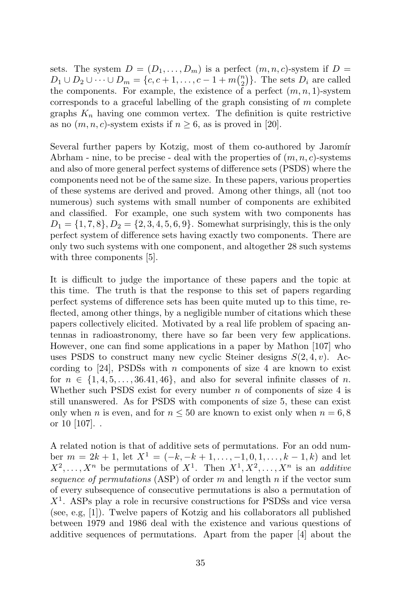sets. The system  $D = (D_1, \ldots, D_m)$  is a perfect  $(m, n, c)$ -system if  $D =$  $D_1 \cup D_2 \cup \cdots \cup D_m = \{c, c+1, \ldots, c-1+m{n \choose 2}\}.$  The sets  $D_i$  are called the components. For example, the existence of a perfect  $(m, n, 1)$ -system corresponds to a graceful labelling of the graph consisting of  $m$  complete graphs  $K_n$  having one common vertex. The definition is quite restrictive as no  $(m, n, c)$ -system exists if  $n \geq 6$ , as is proved in [20].

Several further papers by Kotzig, most of them co-authored by Jaromír Abrham - nine, to be precise - deal with the properties of  $(m, n, c)$ -systems and also of more general perfect systems of difference sets (PSDS) where the components need not be of the same size. In these papers, various properties of these systems are derived and proved. Among other things, all (not too numerous) such systems with small number of components are exhibited and classified. For example, one such system with two components has  $D_1 = \{1, 7, 8\}, D_2 = \{2, 3, 4, 5, 6, 9\}.$  Somewhat surprisingly, this is the only perfect system of difference sets having exactly two components. There are only two such systems with one component, and altogether 28 such systems with three components [5].

It is difficult to judge the importance of these papers and the topic at this time. The truth is that the response to this set of papers regarding perfect systems of difference sets has been quite muted up to this time, reflected, among other things, by a negligible number of citations which these papers collectively elicited. Motivated by a real life problem of spacing antennas in radioastronomy, there have so far been very few applications. However, one can find some applications in a paper by Mathon [107] who uses PSDS to construct many new cyclic Steiner designs  $S(2, 4, v)$ . According to [24], PSDSs with n components of size 4 are known to exist for  $n \in \{1, 4, 5, \ldots, 36.41, 46\}$ , and also for several infinite classes of n. Whether such PSDS exist for every number  $n$  of components of size 4 is still unanswered. As for PSDS with components of size 5, these can exist only when n is even, and for  $n \leq 50$  are known to exist only when  $n = 6, 8$ or 10 [107]. .

A related notion is that of additive sets of permutations. For an odd number  $m = 2k + 1$ , let  $X^1 = (-k, -k + 1, \ldots, -1, 0, 1, \ldots, k - 1, k)$  and let  $X^2, \ldots, X^n$  be permutations of  $X^1$ . Then  $X^1, X^2, \ldots, X^n$  is an *additive* sequence of permutations (ASP) of order m and length n if the vector sum of every subsequence of consecutive permutations is also a permutation of  $X<sup>1</sup>$ . ASPs play a role in recursive constructions for PSDSs and vice versa (see, e.g, [1]). Twelve papers of Kotzig and his collaborators all published between 1979 and 1986 deal with the existence and various questions of additive sequences of permutations. Apart from the paper [4] about the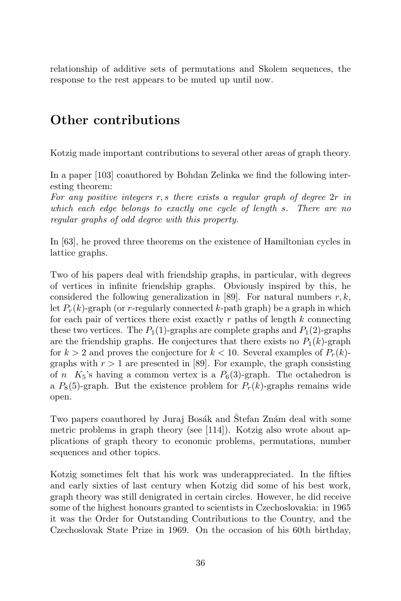relationship of additive sets of permutations and Skolem sequences, the response to the rest appears to be muted up until now.

# Other contributions

Kotzig made important contributions to several other areas of graph theory.

In a paper [103] coauthored by Bohdan Zelinka we find the following interesting theorem:

For any positive integers  $r, s$  there exists a regular graph of degree  $2r$  in which each edge belongs to exactly one cycle of length s. There are no regular graphs of odd degree with this property.

In [63], he proved three theorems on the existence of Hamiltonian cycles in lattice graphs.

Two of his papers deal with friendship graphs, in particular, with degrees of vertices in infinite friendship graphs. Obviously inspired by this, he considered the following generalization in [89]. For natural numbers  $r, k$ , let  $P_r(k)$ -graph (or r-regularly connected k-path graph) be a graph in which for each pair of vertices there exist exactly  $r$  paths of length  $k$  connecting these two vertices. The  $P_1(1)$ -graphs are complete graphs and  $P_1(2)$ -graphs are the friendship graphs. He conjectures that there exists no  $P_1(k)$ -graph for  $k > 2$  and proves the conjecture for  $k < 10$ . Several examples of  $P_r(k)$ graphs with  $r > 1$  are presented in [89]. For example, the graph consisting of n  $K_5$ 's having a common vertex is a  $P_6(3)$ -graph. The octahedron is a  $P_8(5)$ -graph. But the existence problem for  $P_r(k)$ -graphs remains wide open.

Two papers coauthored by Juraj Bosák and Stefan Znám deal with some metric problems in graph theory (see [114]). Kotzig also wrote about applications of graph theory to economic problems, permutations, number sequences and other topics.

Kotzig sometimes felt that his work was underappreciated. In the fifties and early sixties of last century when Kotzig did some of his best work, graph theory was still denigrated in certain circles. However, he did receive some of the highest honours granted to scientists in Czechoslovakia: in 1965 it was the Order for Outstanding Contributions to the Country, and the Czechoslovak State Prize in 1969. On the occasion of his 60th birthday,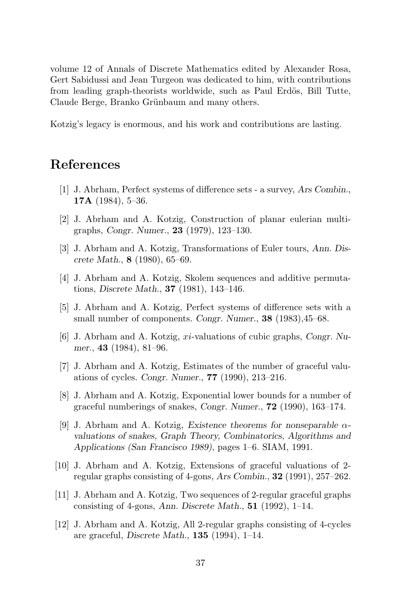volume 12 of Annals of Discrete Mathematics edited by Alexander Rosa, Gert Sabidussi and Jean Turgeon was dedicated to him, with contributions from leading graph-theorists worldwide, such as Paul Erdös, Bill Tutte, Claude Berge, Branko Grünbaum and many others.

Kotzig's legacy is enormous, and his work and contributions are lasting.

#### References

- [1] J. Abrham, Perfect systems of difference sets a survey, Ars Combin., 17A  $(1984)$ , 5-36.
- [2] J. Abrham and A. Kotzig, Construction of planar eulerian multigraphs, Congr. Numer., 23 (1979), 123–130.
- [3] J. Abrham and A. Kotzig, Transformations of Euler tours, Ann. Discrete Math., 8 (1980), 65–69.
- [4] J. Abrham and A. Kotzig, Skolem sequences and additive permutations, Discrete Math., 37 (1981), 143–146.
- [5] J. Abrham and A. Kotzig, Perfect systems of difference sets with a small number of components. Congr. Numer., 38 (1983), 45–68.
- [6] J. Abrham and A. Kotzig, xi-valuations of cubic graphs, Congr. Numer., 43 (1984), 81–96.
- [7] J. Abrham and A. Kotzig, Estimates of the number of graceful valuations of cycles. Congr. Numer., 77 (1990), 213–216.
- [8] J. Abrham and A. Kotzig, Exponential lower bounds for a number of graceful numberings of snakes, Congr. Numer., 72 (1990), 163–174.
- [9] J. Abrham and A. Kotzig, Existence theorems for nonseparable  $\alpha$ valuations of snakes, Graph Theory, Combinatorics, Algorithms and Applications (San Francisco 1989), pages 1–6. SIAM, 1991.
- [10] J. Abrham and A. Kotzig, Extensions of graceful valuations of 2 regular graphs consisting of 4-gons, Ars Combin.,  $32$  (1991), 257–262.
- [11] J. Abrham and A. Kotzig, Two sequences of 2-regular graceful graphs consisting of 4-gons, Ann. Discrete Math.,  $51$  (1992), 1–14.
- [12] J. Abrham and A. Kotzig, All 2-regular graphs consisting of 4-cycles are graceful, Discrete Math., 135 (1994), 1–14.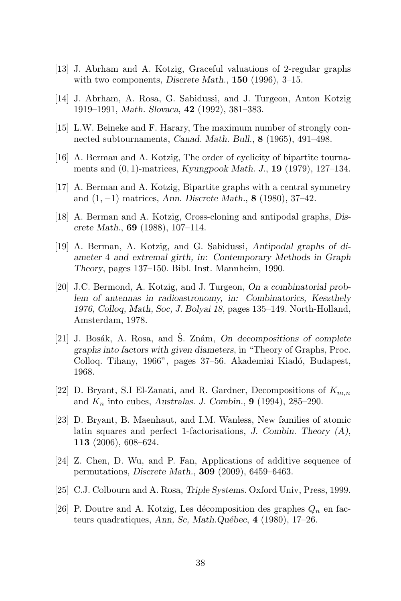- [13] J. Abrham and A. Kotzig, Graceful valuations of 2-regular graphs with two components, Discrete Math.,  $150$  (1996), 3-15.
- [14] J. Abrham, A. Rosa, G. Sabidussi, and J. Turgeon, Anton Kotzig 1919–1991, Math. Slovaca, 42 (1992), 381–383.
- [15] L.W. Beineke and F. Harary, The maximum number of strongly connected subtournaments, Canad. Math. Bull., 8 (1965), 491–498.
- [16] A. Berman and A. Kotzig, The order of cyclicity of bipartite tournaments and  $(0, 1)$ -matrices, Kyungpook Math. J., **19** (1979), 127–134.
- [17] A. Berman and A. Kotzig, Bipartite graphs with a central symmetry and (1, −1) matrices, Ann. Discrete Math., 8 (1980), 37–42.
- [18] A. Berman and A. Kotzig, Cross-cloning and antipodal graphs, Discrete Math., 69 (1988), 107–114.
- [19] A. Berman, A. Kotzig, and G. Sabidussi, Antipodal graphs of diameter 4 and extremal girth, in: Contemporary Methods in Graph Theory, pages 137–150. Bibl. Inst. Mannheim, 1990.
- [20] J.C. Bermond, A. Kotzig, and J. Turgeon, On a combinatorial problem of antennas in radioastronomy, in: Combinatorics, Keszthely 1976, Colloq, Math, Soc, J. Bolyai 18, pages 135–149. North-Holland, Amsterdam, 1978.
- [21] J. Bosák, A. Rosa, and S. Znám,  $On$  decompositions of complete graphs into factors with given diameters, in "Theory of Graphs, Proc. Colloq. Tihany, 1966", pages 37–56. Akademiai Kiadó, Budapest, 1968.
- [22] D. Bryant, S.I El-Zanati, and R. Gardner, Decompositions of  $K_{m,n}$ and  $K_n$  into cubes, Australas. J. Combin., **9** (1994), 285–290.
- [23] D. Bryant, B. Maenhaut, and I.M. Wanless, New families of atomic latin squares and perfect 1-factorisations, J. Combin. Theory (A), 113 (2006), 608–624.
- [24] Z. Chen, D. Wu, and P. Fan, Applications of additive sequence of permutations, Discrete Math., 309 (2009), 6459–6463.
- [25] C.J. Colbourn and A. Rosa, Triple Systems. Oxford Univ, Press, 1999.
- [26] P. Doutre and A. Kotzig, Les décomposition des graphes  $Q_n$  en facteurs quadratiques, Ann, Sc, Math.Québec, 4 (1980), 17–26.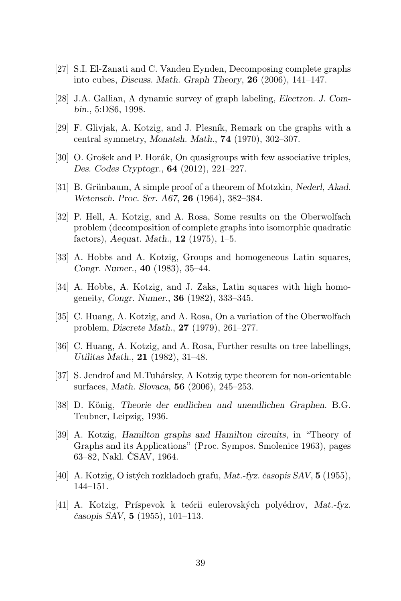- [27] S.I. El-Zanati and C. Vanden Eynden, Decomposing complete graphs into cubes, Discuss. Math. Graph Theory, 26 (2006), 141–147.
- [28] J.A. Gallian, A dynamic survey of graph labeling, Electron. J. Combin., 5:DS6, 1998.
- [29] F. Glivjak, A. Kotzig, and J. Plesník, Remark on the graphs with a central symmetry, Monatsh. Math., 74 (1970), 302–307.
- [30] O. Grošek and P. Horák, On quasigroups with few associative triples, Des. Codes Cryptogr., 64 (2012), 221–227.
- [31] B. Grünbaum, A simple proof of a theorem of Motzkin, Nederl, Akad. Wetensch. Proc. Ser. A67, 26 (1964), 382–384.
- [32] P. Hell, A. Kotzig, and A. Rosa, Some results on the Oberwolfach problem (decomposition of complete graphs into isomorphic quadratic factors), Aequat. Math.,  $12$  (1975), 1–5.
- [33] A. Hobbs and A. Kotzig, Groups and homogeneous Latin squares, Congr. Numer., 40 (1983), 35–44.
- [34] A. Hobbs, A. Kotzig, and J. Zaks, Latin squares with high homogeneity, Congr. Numer., 36 (1982), 333–345.
- [35] C. Huang, A. Kotzig, and A. Rosa, On a variation of the Oberwolfach problem, Discrete Math., 27 (1979), 261–277.
- [36] C. Huang, A. Kotzig, and A. Rosa, Further results on tree labellings, Utilitas Math., 21 (1982), 31–48.
- [37] S. Jendrol' and M.Tuhársky, A Kotzig type theorem for non-orientable surfaces, Math. Slovaca, 56 (2006), 245–253.
- [38] D. König, Theorie der endlichen und unendlichen Graphen. B.G. Teubner, Leipzig, 1936.
- [39] A. Kotzig, Hamilton graphs and Hamilton circuits, in "Theory of Graphs and its Applications" (Proc. Sympos. Smolenice 1963), pages 63–82, Nakl. CSAV, 1964.
- [40] A. Kotzig, O istých rozkladoch grafu, Mat.-fyz. časopis  $SAV$ ,  $5(1955)$ , 144–151.
- [41] A. Kotzig, Príspevok k teórii eulerovských polyédrov, Mat.-fyz.  $\check{c}$ asopis SAV, 5 (1955), 101–113.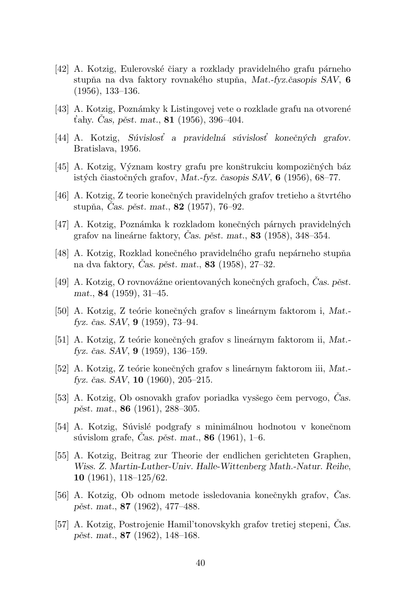- [42] A. Kotzig, Eulerovské čiary a rozklady pravidelného grafu párneho stupňa na dva faktory rovnakého stupňa, Mat.-fyz. $\check{c}$ asopis SAV, 6 (1956), 133–136.
- [43] A. Kotzig, Pozn´amky k Listingovej vete o rozklade grafu na otvoren´e t'ahy. Cas, pěst. mat.,  $81$  (1956), 396–404.
- [44] A. Kotzig, Súvislost' a pravidelná súvislost' konečných grafov. Bratislava, 1956.
- [45] A. Kotzig, Význam kostry grafu pre konštrukciu kompozičných báz istých čiastočných grafov, Mat.-fyz. časopis SAV,  $6$  (1956), 68–77.
- [46] A. Kotzig, Z teorie konečných pravidelných grafov tretieho a štvrtého stupňa, Cas. pěst. mat.,  $82$  (1957), 76–92.
- [47] A. Kotzig, Poznámka k rozkladom konečných párnych pravidelných grafov na lineárne faktory, Cas. pěst. mat.,  $83$  (1958), 348–354.
- [48] A. Kotzig, Rozklad konečného pravidelného grafu nepárneho stupňa na dva faktory, Cas. pěst. mat., 83 (1958), 27–32.
- [49] A. Kotzig, O rovnovážne orientovaných konečných grafoch, Čas. pěst. mat., 84 (1959), 31–45.
- [50] A. Kotzig, Z teórie konečných grafov s lineárnym faktorom i, Mat.fyz. čas.  $SAV$ ,  $9$  (1959), 73–94.
- [51] A. Kotzig, Z teórie konečných grafov s lineárnym faktorom ii, Mat.fyz. čas. SAV,  $9(1959)$ , 136–159.
- [52] A. Kotzig, Z teórie konečných grafov s lineárnym faktorom iii, Mat.fyz. čas. SAV,  $10$  (1960), 205-215.
- [53] A. Kotzig, Ob osnovakh grafov poriadka vysšego čem pervogo, Cas. pěst. mat., 86 $(1961)$ , 288–305.
- [54] A. Kotzig, Súvislé podgrafy s minimálnou hodnotou v konečnom súvislom grafe, Cas. pěst. mat.,  $86$  (1961), 1–6.
- [55] A. Kotzig, Beitrag zur Theorie der endlichen gerichteten Graphen, Wiss. Z. Martin-Luther-Univ. Halle-Wittenberg Math.-Natur. Reihe, 10 (1961), 118–125/62.
- [56] A. Kotzig, Ob odnom metode issledovania konečnykh grafov, Cas. pěst. mat.,  $87$  (1962), 477–488.
- [57] A. Kotzig, Postrojenie Hamil'tonovskykh grafov tretiej stepeni, Cas. pěst. mat.,  $87$  (1962), 148–168.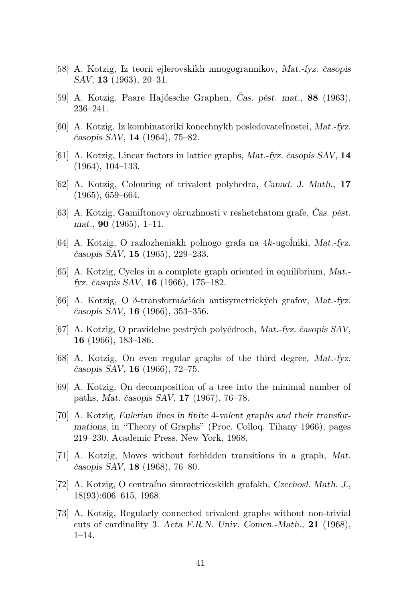- [58] A. Kotzig, Iz teorii ejlerovskikh mnogogrannikov, Mat.-fyz. časopis SAV, 13 (1963), 20–31.
- [59] A. Kotzig, Paare Hajóssche Graphen, Cas. pěst. mat.,  $88$  (1963), 236–241.
- [60] A. Kotzig, Iz kombinatoriki konechnykh posledovatel'nostei, Mat.-fyz.  $\check{c}$ asopis SAV, 14 (1964), 75–82.
- [61] A. Kotzig, Linear factors in lattice graphs, Mat.-fyz. časopis  $SAV$ , 14 (1964), 104–133.
- [62] A. Kotzig, Colouring of trivalent polyhedra, Canad. J. Math., 17 (1965), 659–664.
- [63] A. Kotzig, Gamiltonovy okruzhnosti v reshetchatom grafe, Cas. pěst. mat., 90 (1965), 1–11.
- [64] A. Kotzig, O razlozheniakh polnogo grafa na  $4k$ -ugolniki, Mat.-fyz. ˇcasopis SAV, 15 (1965), 229–233.
- [65] A. Kotzig, Cycles in a complete graph oriented in equilibrium, Mat. fyz. časopis SAV,  $16$  (1966), 175–182.
- [66] A. Kotzig, O  $\delta$ -transformáciách antisymetrických grafov, Mat.-fyz.  $\check{c}$ asopis SAV, **16** (1966), 353–356.
- [67] A. Kotzig, O pravidelne pestrých polyédroch, Mat.-fyz. časopis SAV, 16 (1966), 183–186.
- [68] A. Kotzig, On even regular graphs of the third degree, Mat.-fyz.  $\check{c}$ asopis SAV, 16 (1966), 72–75.
- [69] A. Kotzig, On decomposition of a tree into the minimal number of paths, Mat. časopis SAV, 17 (1967), 76–78.
- [70] A. Kotzig, Eulerian lines in finite 4-valent graphs and their transformations, in "Theory of Graphs" (Proc. Colloq. Tihany 1966), pages 219–230. Academic Press, New York, 1968.
- [71] A. Kotzig, Moves without forbidden transitions in a graph, Mat. časopis SAV, 18 (1968), 76-80.
- [72] A. Kotzig, O centralno simmetričeskikh grafakh, Czechosl. Math. J., 18(93):606–615, 1968.
- [73] A. Kotzig, Regularly connected trivalent graphs without non-trivial cuts of cardinality 3. Acta F.R.N. Univ. Comen.-Math., 21 (1968), 1–14.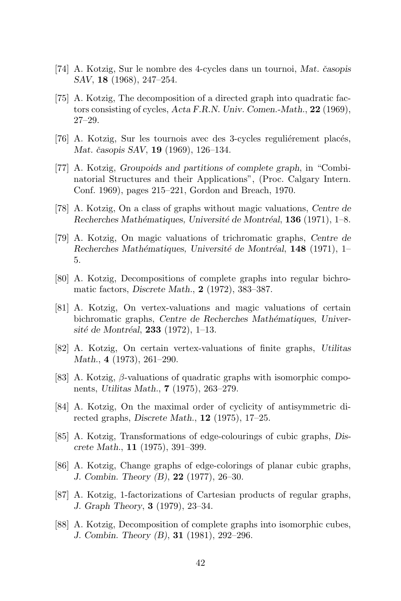- [74] A. Kotzig, Sur le nombre des 4-cycles dans un tournoi, Mat. časopis SAV, 18 (1968), 247–254.
- [75] A. Kotzig, The decomposition of a directed graph into quadratic factors consisting of cycles, Acta F.R.N. Univ. Comen.-Math., 22 (1969), 27–29.
- $[76]$  A. Kotzig, Sur les tournois avec des 3-cycles regulièrement placés, Mat. časopis SAV, **19** (1969), 126–134.
- [77] A. Kotzig, Groupoids and partitions of complete graph, in "Combinatorial Structures and their Applications", (Proc. Calgary Intern. Conf. 1969), pages 215–221, Gordon and Breach, 1970.
- [78] A. Kotzig, On a class of graphs without magic valuations, Centre de Recherches Mathématiques, Université de Montréal, 136 (1971), 1–8.
- [79] A. Kotzig, On magic valuations of trichromatic graphs, Centre de Recherches Mathématiques, Université de Montréal,  $148$  (1971), 1– 5.
- [80] A. Kotzig, Decompositions of complete graphs into regular bichromatic factors, Discrete Math., 2 (1972), 383–387.
- [81] A. Kotzig, On vertex-valuations and magic valuations of certain bichromatic graphs, Centre de Recherches Mathématiques, Université de Montréal,  $233$  (1972), 1–13.
- [82] A. Kotzig, On certain vertex-valuations of finite graphs, Utilitas Math., 4 (1973), 261–290.
- [83] A. Kotzig,  $\beta$ -valuations of quadratic graphs with isomorphic components, Utilitas Math., 7 (1975), 263–279.
- [84] A. Kotzig, On the maximal order of cyclicity of antisymmetric directed graphs, Discrete Math.,  $12$  (1975), 17–25.
- [85] A. Kotzig, Transformations of edge-colourings of cubic graphs, Discrete Math., 11 (1975), 391–399.
- [86] A. Kotzig, Change graphs of edge-colorings of planar cubic graphs, J. Combin. Theory (B), 22 (1977), 26–30.
- [87] A. Kotzig, 1-factorizations of Cartesian products of regular graphs, J. Graph Theory, 3 (1979), 23–34.
- [88] A. Kotzig, Decomposition of complete graphs into isomorphic cubes, J. Combin. Theory (B), 31 (1981), 292–296.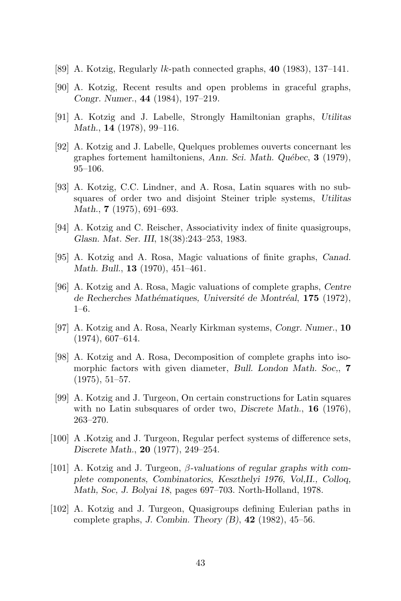- [89] A. Kotzig, Regularly  $lk$ -path connected graphs, 40 (1983), 137–141.
- [90] A. Kotzig, Recent results and open problems in graceful graphs, Congr. Numer., 44 (1984), 197–219.
- [91] A. Kotzig and J. Labelle, Strongly Hamiltonian graphs, Utilitas Math., **14** (1978), 99–116.
- [92] A. Kotzig and J. Labelle, Quelques problemes ouverts concernant les graphes fortement hamiltoniens, Ann. Sci. Math. Québec, 3 (1979), 95–106.
- [93] A. Kotzig, C.C. Lindner, and A. Rosa, Latin squares with no subsquares of order two and disjoint Steiner triple systems, Utilitas Math.,  $7(1975)$ , 691–693.
- [94] A. Kotzig and C. Reischer, Associativity index of finite quasigroups, Glasn. Mat. Ser. III, 18(38):243–253, 1983.
- [95] A. Kotzig and A. Rosa, Magic valuations of finite graphs, Canad. Math. Bull., **13** (1970), 451–461.
- [96] A. Kotzig and A. Rosa, Magic valuations of complete graphs, Centre de Recherches Mathématiques, Université de Montréal,  $175$  (1972), 1–6.
- [97] A. Kotzig and A. Rosa, Nearly Kirkman systems, Congr. Numer., 10 (1974), 607–614.
- [98] A. Kotzig and A. Rosa, Decomposition of complete graphs into isomorphic factors with given diameter, Bull. London Math. Soc., 7 (1975), 51–57.
- [99] A. Kotzig and J. Turgeon, On certain constructions for Latin squares with no Latin subsquares of order two, Discrete Math., 16 (1976), 263–270.
- [100] A .Kotzig and J. Turgeon, Regular perfect systems of difference sets, Discrete Math., 20 (1977), 249–254.
- [101] A. Kotzig and J. Turgeon,  $\beta$ -valuations of regular graphs with complete components, Combinatorics, Keszthelyi 1976, Vol,II., Colloq, Math, Soc, J. Bolyai 18, pages 697–703. North-Holland, 1978.
- [102] A. Kotzig and J. Turgeon, Quasigroups defining Eulerian paths in complete graphs, J. Combin. Theory  $(B)$ , 42 (1982), 45–56.